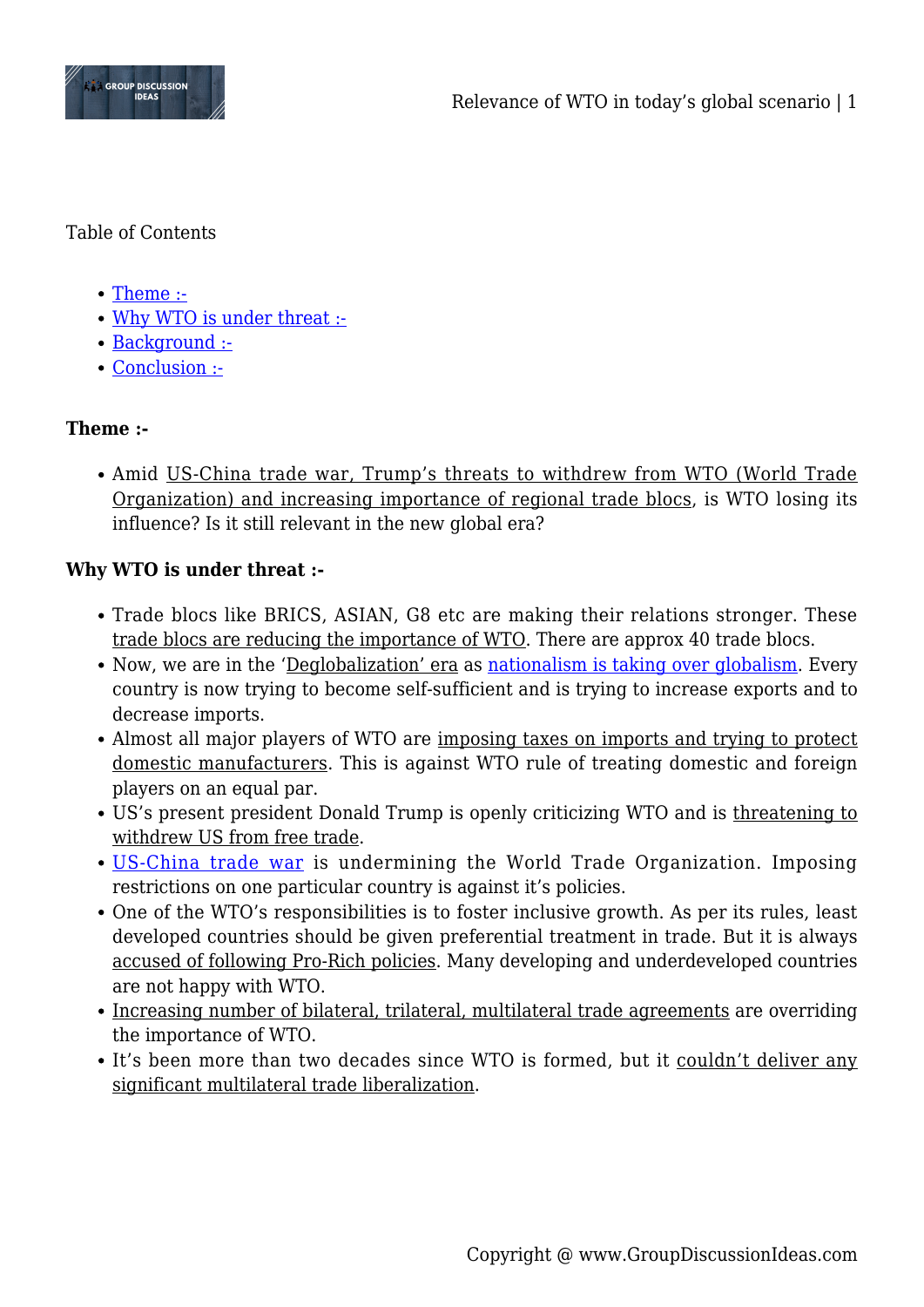

Table of Contents

- [Theme :-](#page--1-0)
- [Why WTO is under threat :-](#page--1-0)
- [Background :-](#page--1-0)
- [Conclusion :-](#page--1-0)

# **Theme :-**

Amid US-China trade war, Trump's threats to withdrew from WTO (World Trade Organization) and increasing importance of regional trade blocs, is WTO losing its influence? Is it still relevant in the new global era?

# **Why WTO is under threat :-**

- Trade blocs like BRICS, ASIAN, G8 etc are making their relations stronger. These trade blocs are reducing the importance of WTO. There are approx 40 trade blocs.
- Now, we are in the 'Deglobalization' era as [nationalism is taking over globalism.](http://www.groupdiscussionideas.com/is-nationalism-taking-over-globalism/) Every country is now trying to become self-sufficient and is trying to increase exports and to decrease imports.
- Almost all major players of WTO are imposing taxes on imports and trying to protect domestic manufacturers. This is against WTO rule of treating domestic and foreign players on an equal par.
- US's present president Donald Trump is openly criticizing WTO and is threatening to withdrew US from free trade.
- [US-China trade war](http://www.groupdiscussionideas.com/us-china-trade-war-impact-on-usa-china-other-countries/) is undermining the World Trade Organization. Imposing restrictions on one particular country is against it's policies.
- One of the WTO's responsibilities is to foster inclusive growth. As per its rules, least developed countries should be given preferential treatment in trade. But it is always accused of following Pro-Rich policies. Many developing and underdeveloped countries are not happy with WTO.
- Increasing number of bilateral, trilateral, multilateral trade agreements are overriding the importance of WTO.
- It's been more than two decades since WTO is formed, but it couldn't deliver any significant multilateral trade liberalization.